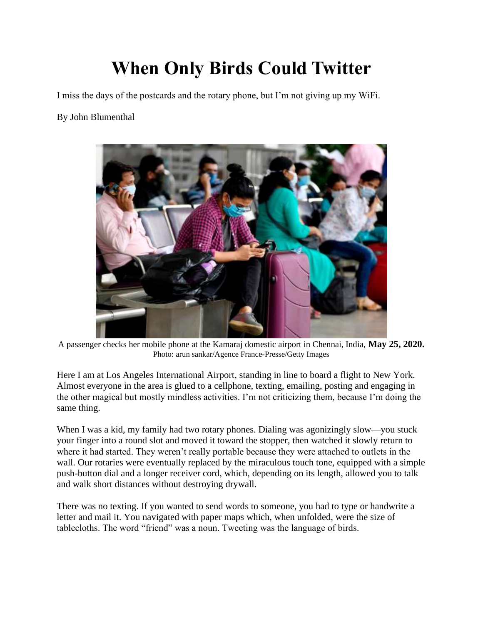## **When Only Birds Could Twitter**

I miss the days of the postcards and the rotary phone, but I'm not giving up my WiFi.

## By John Blumenthal



A passenger checks her mobile phone at the Kamaraj domestic airport in Chennai, India, **May 25, 2020.** Photo: arun sankar/Agence France-Presse/Getty Images

Here I am at Los Angeles International Airport, standing in line to board a flight to New York. Almost everyone in the area is glued to a cellphone, texting, emailing, posting and engaging in the other magical but mostly mindless activities. I'm not criticizing them, because I'm doing the same thing.

When I was a kid, my family had two rotary phones. Dialing was agonizingly slow—you stuck your finger into a round slot and moved it toward the stopper, then watched it slowly return to where it had started. They weren't really portable because they were attached to outlets in the wall. Our rotaries were eventually replaced by the miraculous touch tone, equipped with a simple push-button dial and a longer receiver cord, which, depending on its length, allowed you to talk and walk short distances without destroying drywall.

There was no texting. If you wanted to send words to someone, you had to type or handwrite a letter and mail it. You navigated with paper maps which, when unfolded, were the size of tablecloths. The word "friend" was a noun. Tweeting was the language of birds.